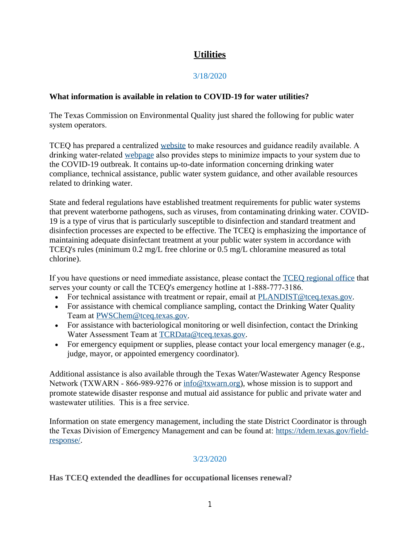# **Utilities**

## 3/18/2020

## **What information is available in relation to COVID-19 for water utilities?**

The Texas Commission on Environmental Quality just shared the following for public water system operators.

TCEQ has prepared a centralized [website](http://r20.rs6.net/tn.jsp?f=001UMHJbj7QQ_4zRAbQ5NtCPVvRbE6KrvkPm5BiAGcdDI2dcKUGsM6Nd2YbaLvcFgQLmhXNjaECGfvWPV0Pa1sBbI1ipfa7eaRHrFQp07IniMeBE4n-aqN7CsNuTue9RIeE373vfXCsdB02EGtlqwNRC0JuWjmMKvkwUQoWpz2VCuivRKfVzhMmYfG_CUCIbpAh7n1xUzjvMYM=&c=MlL-VReMta9nHYj3fOvp9_QyiE9aqdoXp9FSB5of_s8cnon70gF0lw==&ch=fSwh4F75kv1Yo1NUBMDPHCyxVDFyKi0DETOq9ttwdt2OyXGHrmNwwQ==) to make resources and guidance readily available. A drinking water-related [webpage](http://r20.rs6.net/tn.jsp?f=001UMHJbj7QQ_4zRAbQ5NtCPVvRbE6KrvkPm5BiAGcdDI2dcKUGsM6Nd2YbaLvcFgQLU68_BRJQnQh_xmj5i8ahRNtvEFpa9HjPDK-yl9CiPoORHBxLGEV_zzr4Jx6W0N6fi-UzMWPPuno34-oO6zpDgdldptiBXfGWllMp5f29q5YFhJlbEC_qFB2UxuW8vpykMYdkHiFepOUHbyAd9DYBnwGi4xBiZJPnJGqB0624g7yMvyyA_Vl1Pq773Vd6iqC-leLzle0oSBgcgFW3dc74j6yKsrgCDMzpwZmv5pvSGbDCsSJjFWNL_c_QwXomNnPFYaxm9WOmhOPITwT2FstMl8mDTPCRBxBAwCJBXyVGTOr9YR6TkiDTp7m5p_S-wJSJCBdEWPMVpG_u_5W5jj_ORffVHGc6JK6mfwfo7jb4mBTlsZCq1Q1Qo1lZWXBvT2HzaqC5MKIN16JlZlLVcK2e399Yr4U71cCIYwSYsBfKEW_S3w7yS_2OvzJAgs5nXYUbNXTMqe06Hy5tsCRA3dvBCSpNn9lg_5RhleGT3f5cGPLgbR4j5ibt5R8bZm4aJxyZ9k2AOTDfbSM=&c=MlL-VReMta9nHYj3fOvp9_QyiE9aqdoXp9FSB5of_s8cnon70gF0lw==&ch=fSwh4F75kv1Yo1NUBMDPHCyxVDFyKi0DETOq9ttwdt2OyXGHrmNwwQ==) also provides steps to minimize impacts to your system due to the COVID-19 outbreak. It contains up-to-date information concerning drinking water compliance, technical assistance, public water system guidance, and other available resources related to drinking water.

State and federal regulations have established treatment requirements for public water systems that prevent waterborne pathogens, such as viruses, from contaminating drinking water. COVID-19 is a type of virus that is particularly susceptible to disinfection and standard treatment and disinfection processes are expected to be effective. The TCEQ is emphasizing the importance of maintaining adequate disinfectant treatment at your public water system in accordance with TCEQ's rules (minimum 0.2 mg/L free chlorine or 0.5 mg/L chloramine measured as total chlorine).

If you have questions or need immediate assistance, please contact the [TCEQ regional office](http://r20.rs6.net/tn.jsp?f=001UMHJbj7QQ_4zRAbQ5NtCPVvRbE6KrvkPm5BiAGcdDI2dcKUGsM6Nd2YbaLvcFgQLa7t0ObV2I8JMYhbLQ2IdTBN2PA50tBCGZdTbqFGTe7-H8w2rE2hkwDdW2n8xbE0T7Z4_VEVHwklO7P3oqxZh4Be7XEDOEIIrpex1WOzF7spBhHcVz4GE-mKFd6yZpmif5NsDPJVttBpvoW8PLAbdS7lcD4SGOcohwBcQdV2IWnuA9oTr4gWJX5prgNE_R9bjEg5JLJbiLtASZ95zsyVT7G3cLqCJ_UB2rjZY0xMm9xcq-EAoNABfJuL3c4_sGVT_lbk-CaMCnRY_AertsoPt_REk87H0C2zjl8gtgtIzsivCL9DyBlMMB1EO6Y6v7-DP6ESWx1ap1NiO5HUnieQVLvk-O7kiDmx1ncxuMNSyR_TsqYjL-OP0jIJ_9bpdhaU79IrDaroqPQZ5QbHTg4mifTMaugOEsD2JauppXiIS5ax9QrEoRQvSNEowT1ayHq6EgAxyve5UGOmrcFItBTvebL9MQLW8RXqW&c=MlL-VReMta9nHYj3fOvp9_QyiE9aqdoXp9FSB5of_s8cnon70gF0lw==&ch=fSwh4F75kv1Yo1NUBMDPHCyxVDFyKi0DETOq9ttwdt2OyXGHrmNwwQ==) that serves your county or call the TCEQ's emergency hotline at 1-888-777-3186.

- For technical assistance with treatment or repair, email at [PLANDIST@tceq.texas.gov.](mailto:PLANDIST@tceq.texas.gov)
- For assistance with chemical compliance sampling, contact the Drinking Water Quality Team at [PWSChem@tceq.texas.gov](mailto:PWSChem@tceq.texas.gov).
- For assistance with bacteriological monitoring or well disinfection, contact the Drinking Water Assessment Team at [TCRData@tceq.texas.gov.](mailto:TCRData@tceq.texas.gov)
- For emergency equipment or supplies, please contact your local emergency manager (e.g., judge, mayor, or appointed emergency coordinator).

Additional assistance is also available through the Texas Water/Wastewater Agency Response Network (TXWARN - 866-989-9276 or [info@txwarn.org](mailto:info@txwarn.org)), whose mission is to support and promote statewide disaster response and mutual aid assistance for public and private water and wastewater utilities. This is a free service.

Information on state emergency management, including the state District Coordinator is through the Texas Division of Emergency Management and can be found at: [https://tdem.texas.gov/field](http://r20.rs6.net/tn.jsp?f=001UMHJbj7QQ_4zRAbQ5NtCPVvRbE6KrvkPm5BiAGcdDI2dcKUGsM6Nd2YbaLvcFgQLEVbkB73yJFN1eKfEyLyaT84LIziNPTJZnARpqvDp7ib6Tir58SSI4WfsYw437kpgd35DeMhfOOZZKsATtDrLRLvDy76iI5aBmjBNDuiXMS1WbLsoNREhW42pHPeffYAHx4VQ1Wn7M7f6-5boQY2AUNDgq5r6RtgJ2oA7VlOoVah7NFpkP_-67wBe35GBtf_2rxjsZiYseT0Vwpjp-6y72uqNjKQnmGQNa80fR2-4tXP6sjpBt4LWu_aFZj7n1D0FVoDtr4U1Il4g3go5NDJnlWOTgItuxxSV69QrxeMpGinaOxemoihTg4qFpiIkCDCmilaywZkat0E7fsF_juLPg2EIx70e4QbUCe5b9byuVFAH1e4544AkOdpNf_m9Fir3k2C1u4Y-u5Twrl8wMtcN4hvlOiLqN_hnH-gTh4pyRiRfVh_WKhJ_lQ==&c=MlL-VReMta9nHYj3fOvp9_QyiE9aqdoXp9FSB5of_s8cnon70gF0lw==&ch=fSwh4F75kv1Yo1NUBMDPHCyxVDFyKi0DETOq9ttwdt2OyXGHrmNwwQ==)response/.

## 3/23/2020

## **Has TCEQ extended the deadlines for occupational licenses renewal?**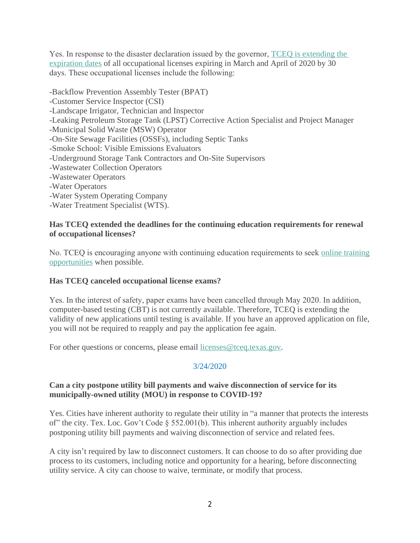Yes. In response to the disaster declaration issued by the governor, [TCEQ is extending the](http://r20.rs6.net/tn.jsp?f=001ffboAiqPUJKODF_XO5IYUv9FciWvsyJd6hvB-RdeMFSzIgPBC3tV4XNCEeIwbeumu7Pzc6M0yekRXnzNtT0NhuFNNHKzulwQRYzxupxLkTgJiyfGgrpKdvtRxR7s9xlt-AShSOOv_RY8T_naG3yXCJh4TLgOiK9wFEMO35h5JWpKyNo7MIZ_vQ==&c=PfB9XNYMzs1mkWpcHpG46qNLkX8UUHZROEv3P-xgid814Tkyc69iJQ==&ch=VxkYt05eR0SmLaET1oEvuPjNXskuJi0seQqMWDQ0VFzyafc78Qw0kg==)  expiration dates of all occupational licenses expiring in March and April of 2020 by 30 days. These occupational licenses include the following:

-Backflow Prevention Assembly Tester (BPAT) -Customer Service Inspector (CSI) -Landscape Irrigator, Technician and Inspector -Leaking Petroleum Storage Tank (LPST) Corrective Action Specialist and Project Manager -Municipal Solid Waste (MSW) Operator -On-Site Sewage Facilities (OSSFs), including Septic Tanks -Smoke School: Visible Emissions Evaluators -Underground Storage Tank Contractors and On-Site Supervisors -Wastewater Collection Operators -Wastewater Operators -Water Operators -Water System Operating Company

-Water Treatment Specialist (WTS).

#### **Has TCEQ extended the deadlines for the continuing education requirements for renewal of occupational licenses?**

No. TCEQ is encouraging anyone with continuing education requirements to seek [online training](http://r20.rs6.net/tn.jsp?f=001ffboAiqPUJKODF_XO5IYUv9FciWvsyJd6hvB-RdeMFSzIgPBC3tV4XNCEeIwbeumWDqVKWPO1goBEmLWtOeQnJAeAGv90wYfoKfgZ_uUYVUVQgEX7ayzgdm_7DIKIUv5AyAkN0-aGnUye71tJtGD9HfUEK04kCbAtP6ajiPslEN5AIPk_5tBFaMe-UjrfP7GTpccm2eqkKA=&c=PfB9XNYMzs1mkWpcHpG46qNLkX8UUHZROEv3P-xgid814Tkyc69iJQ==&ch=VxkYt05eR0SmLaET1oEvuPjNXskuJi0seQqMWDQ0VFzyafc78Qw0kg==) opportunities when possible.

## **Has TCEQ canceled occupational license exams?**

Yes. In the interest of safety, paper exams have been cancelled through May 2020. In addition, computer-based testing (CBT) is not currently available. Therefore, TCEQ is extending the validity of new applications until testing is available. If you have an approved application on file, you will not be required to reapply and pay the application fee again.

For other questions or concerns, please email [licenses@tceq.texas.gov.](mailto:licenses@tceq.texas.gov)

## 3/24/2020

#### **Can a city postpone utility bill payments and waive disconnection of service for its municipally-owned utility (MOU) in response to COVID-19?**

Yes. Cities have inherent authority to regulate their utility in "a manner that protects the interests of" the city. Tex. Loc. Gov't Code § 552.001(b). This inherent authority arguably includes postponing utility bill payments and waiving disconnection of service and related fees.

A city isn't required by law to disconnect customers. It can choose to do so after providing due process to its customers, including notice and opportunity for a hearing, before disconnecting utility service. A city can choose to waive, terminate, or modify that process.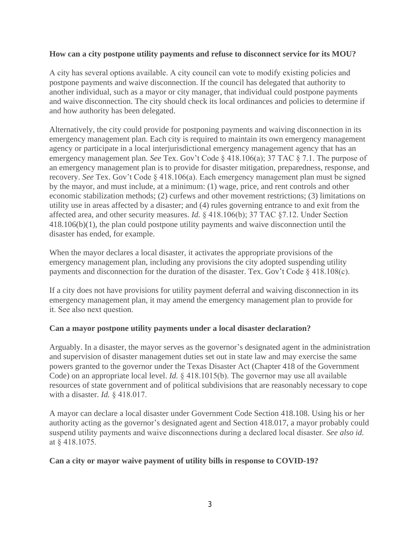#### **How can a city postpone utility payments and refuse to disconnect service for its MOU?**

A city has several options available. A city council can vote to modify existing policies and postpone payments and waive disconnection. If the council has delegated that authority to another individual, such as a mayor or city manager, that individual could postpone payments and waive disconnection. The city should check its local ordinances and policies to determine if and how authority has been delegated.

Alternatively, the city could provide for postponing payments and waiving disconnection in its emergency management plan. Each city is required to maintain its own emergency management agency or participate in a local interjurisdictional emergency management agency that has an emergency management plan. *See* Tex. Gov't Code § 418.106(a); 37 TAC § 7.1. The purpose of an emergency management plan is to provide for disaster mitigation, preparedness, response, and recovery. *See* Tex. Gov't Code § 418.106(a). Each emergency management plan must be signed by the mayor, and must include, at a minimum: (1) wage, price, and rent controls and other economic stabilization methods; (2) curfews and other movement restrictions; (3) limitations on utility use in areas affected by a disaster; and (4) rules governing entrance to and exit from the affected area, and other security measures. *Id.* § 418.106(b); 37 TAC §7.12. Under Section 418.106(b)(1), the plan could postpone utility payments and waive disconnection until the disaster has ended, for example.

When the mayor declares a local disaster, it activates the appropriate provisions of the emergency management plan, including any provisions the city adopted suspending utility payments and disconnection for the duration of the disaster. Tex. Gov't Code § 418.108(c).

If a city does not have provisions for utility payment deferral and waiving disconnection in its emergency management plan, it may amend the emergency management plan to provide for it. See also next question.

## **Can a mayor postpone utility payments under a local disaster declaration?**

Arguably. In a disaster, the mayor serves as the governor's designated agent in the administration and supervision of disaster management duties set out in state law and may exercise the same powers granted to the governor under the Texas Disaster Act (Chapter 418 of the Government Code) on an appropriate local level. *Id.* § 418.1015(b). The governor may use all available resources of state government and of political subdivisions that are reasonably necessary to cope with a disaster. *Id.* § 418.017.

A mayor can declare a local disaster under Government Code Section 418.108. Using his or her authority acting as the governor's designated agent and Section 418.017, a mayor probably could suspend utility payments and waive disconnections during a declared local disaster. *See also id.* at § 418.1075.

#### **Can a city or mayor waive payment of utility bills in response to COVID-19?**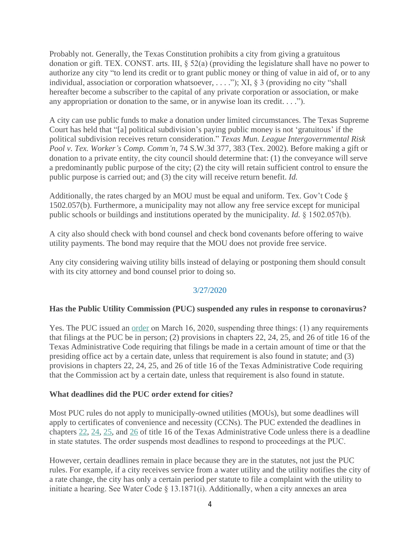Probably not. Generally, the Texas Constitution prohibits a city from giving a gratuitous donation or gift. TEX. CONST. arts. III, § 52(a) (providing the legislature shall have no power to authorize any city "to lend its credit or to grant public money or thing of value in aid of, or to any individual, association or corporation whatsoever, . . . ."); XI, § 3 (providing no city "shall hereafter become a subscriber to the capital of any private corporation or association, or make any appropriation or donation to the same, or in anywise loan its credit. . . .").

A city can use public funds to make a donation under limited circumstances. The Texas Supreme Court has held that "[a] political subdivision's paying public money is not 'gratuitous' if the political subdivision receives return consideration." *Texas Mun. League Intergovernmental Risk Pool v. Tex. Worker's Comp. Comm'n*, 74 S.W.3d 377, 383 (Tex. 2002). Before making a gift or donation to a private entity, the city council should determine that: (1) the conveyance will serve a predominantly public purpose of the city; (2) the city will retain sufficient control to ensure the public purpose is carried out; and (3) the city will receive return benefit. *Id.*

Additionally, the rates charged by an MOU must be equal and uniform. Tex. Gov't Code § 1502.057(b). Furthermore, a municipality may not allow any free service except for municipal public schools or buildings and institutions operated by the municipality. *Id.* § 1502.057(b).

A city also should check with bond counsel and check bond covenants before offering to waive utility payments. The bond may require that the MOU does not provide free service.

Any city considering waiving utility bills instead of delaying or postponing them should consult with its city attorney and bond counsel prior to doing so.

## 3/27/2020

#### **Has the Public Utility Commission (PUC) suspended any rules in response to coronavirus?**

Yes. The PUC issued an <u>[order](http://r20.rs6.net/tn.jsp?f=001meM3n5t3a2YEO40eH996adRUeP3L_YUK43q1uej3-eVulMznmH8JpV3vs85bF_74zqIvOWRumJhz0eVvKUw-f0zf9XQPwKEeVx4xRU74FhlmbAVJCM8fxqbTXBV4dp2_V-JC_Ze-YLAuppvDNxk1MGe5e_DRtQJEOL4DTP_zOZ3Ho_bWwZfSmId3zrDH-as4OXddONIZXVg=&c=OTTKF0_9-IB-RZp8M3D-eCIDqergHmeDWV9S5o7lim7eP9zM-AWLGQ==&ch=BUt3K2vHuNzSEZ0YcODeNh_2Q5YqJi2xw6GXCVjWJIu54cjIgVzODg==)</u> on March 16, 2020, suspending three things: (1) any requirements that filings at the PUC be in person; (2) provisions in chapters 22, 24, 25, and 26 of title 16 of the Texas Administrative Code requiring that filings be made in a certain amount of time or that the presiding office act by a certain date, unless that requirement is also found in statute; and (3) provisions in chapters 22, 24, 25, and 26 of title 16 of the Texas Administrative Code requiring that the Commission act by a certain date, unless that requirement is also found in statute.

#### **What deadlines did the PUC order extend for cities?**

Most PUC rules do not apply to municipally-owned utilities (MOUs), but some deadlines will apply to certificates of convenience and necessity (CCNs). The PUC extended the deadlines in chapters [22,](http://r20.rs6.net/tn.jsp?f=001meM3n5t3a2YEO40eH996adRUeP3L_YUK43q1uej3-eVulMznmH8JpV3vs85bF_74WOkGQFcrI4rlKNqYxhGaJBYYT2CSYeP8hQ7Eb0asIFB7Z9JktalyESTvsK5l0pdCefb8-oE6WAo4o7Dc1krXpdGoOIisPT-_OWRHY8_uSFmcbteB7dqIOnLAy7BdD4fsOd4vERHAsPNgb9ZyVQ4HSg==&c=OTTKF0_9-IB-RZp8M3D-eCIDqergHmeDWV9S5o7lim7eP9zM-AWLGQ==&ch=BUt3K2vHuNzSEZ0YcODeNh_2Q5YqJi2xw6GXCVjWJIu54cjIgVzODg==) [24,](http://r20.rs6.net/tn.jsp?f=001meM3n5t3a2YEO40eH996adRUeP3L_YUK43q1uej3-eVulMznmH8JpV3vs85bF_74oaEZQHprBL8T52O6aiIIE_XvRAPis1_Rjv6pVEUAngH6Dh3O6gZDfeQpa1NQFZg9OFxXCOp_7dflK_Ot7Kv6UmuW6F7VdYquTSXcTXTis8Kwmt_anQkj-Fpt0XckZzp5f4bn6aahyCJY5dkatQazM8Q6bR2eCkb8&c=OTTKF0_9-IB-RZp8M3D-eCIDqergHmeDWV9S5o7lim7eP9zM-AWLGQ==&ch=BUt3K2vHuNzSEZ0YcODeNh_2Q5YqJi2xw6GXCVjWJIu54cjIgVzODg==) [25,](http://r20.rs6.net/tn.jsp?f=001meM3n5t3a2YEO40eH996adRUeP3L_YUK43q1uej3-eVulMznmH8JpV3vs85bF_74v0H_mzVCegJ4hEqXtmOasxrRdDxYXqClUpnLgA7785F6esIjUgBeQUNap629fuUtkkjH_2e4GYhFeYhn5YXwg2Gmrf-jtPlALYGrKeHL_UQxe-q4Dd1IpEyPvJ5OGclbb3QVAgGMto-SHE1D-Z0VgyE9IUWxezE945lIRXORwuoJfd6oLfro5g==&c=OTTKF0_9-IB-RZp8M3D-eCIDqergHmeDWV9S5o7lim7eP9zM-AWLGQ==&ch=BUt3K2vHuNzSEZ0YcODeNh_2Q5YqJi2xw6GXCVjWJIu54cjIgVzODg==) and [26](http://r20.rs6.net/tn.jsp?f=001meM3n5t3a2YEO40eH996adRUeP3L_YUK43q1uej3-eVulMznmH8JpV3vs85bF_745NituQKmsn9n5dlqYx8P9-6NL5DrEPqwodJJubHXeB96F2Iy4phd8NoiQDxc3As_RIF4BcluHoU-0g898Bs_fvZVUyBzHbX6B0XaHj1y99TtVJsuW7uptGMGXphpH4G7m4woTw0t3iXpGGlwn-l3yA==&c=OTTKF0_9-IB-RZp8M3D-eCIDqergHmeDWV9S5o7lim7eP9zM-AWLGQ==&ch=BUt3K2vHuNzSEZ0YcODeNh_2Q5YqJi2xw6GXCVjWJIu54cjIgVzODg==) of title 16 of the Texas Administrative Code unless there is a deadline in state statutes. The order suspends most deadlines to respond to proceedings at the PUC.

However, certain deadlines remain in place because they are in the statutes, not just the PUC rules. For example, if a city receives service from a water utility and the utility notifies the city of a rate change, the city has only a certain period per statute to file a complaint with the utility to initiate a hearing. See Water Code § 13.1871(i). Additionally, when a city annexes an area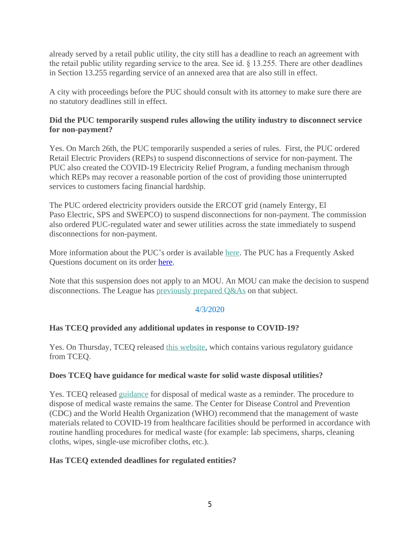already served by a retail public utility, the city still has a deadline to reach an agreement with the retail public utility regarding service to the area. See id. § 13.255. There are other deadlines in Section 13.255 regarding service of an annexed area that are also still in effect.

A city with proceedings before the PUC should consult with its attorney to make sure there are no statutory deadlines still in effect.

## **Did the PUC temporarily suspend rules allowing the utility industry to disconnect service for non-payment?**

Yes. On March 26th, the PUC temporarily suspended a series of rules. First, the PUC ordered Retail Electric Providers (REPs) to suspend disconnections of service for non-payment. The PUC also created the COVID-19 Electricity Relief Program, a funding mechanism through which REPs may recover a reasonable portion of the cost of providing those uninterrupted services to customers facing financial hardship.

The PUC ordered electricity providers outside the ERCOT grid (namely Entergy, El Paso Electric, SPS and SWEPCO) to suspend disconnections for non-payment. The commission also ordered PUC-regulated water and sewer utilities across the state immediately to suspend disconnections for non-payment.

More information about the PUC's order is available [here](http://r20.rs6.net/tn.jsp?f=001meM3n5t3a2YEO40eH996adRUeP3L_YUK43q1uej3-eVulMznmH8JpV3vs85bF_74C-SlnP6bkq9lE2uv7sLlFnh7ofcQ89aWGh5zYGyzBU26X4fc3SWhknvLxjmqoo4xwBAbsnBStaPwG-sYWIjTF9cbE26AiBePP1qEZkSoJPRqGFcxT4alx1aRzDUvRlUKnn25MEn-unYs5fb0lgQXTP5aEivLLaGQ5bxiItw28OK5_tnliBOMdQ==&c=OTTKF0_9-IB-RZp8M3D-eCIDqergHmeDWV9S5o7lim7eP9zM-AWLGQ==&ch=BUt3K2vHuNzSEZ0YcODeNh_2Q5YqJi2xw6GXCVjWJIu54cjIgVzODg==). The PUC has a Frequently Asked Questions document on its order [here.](http://www.puc.texas.gov/images/facts/PUCTX-COVID19-FAQ-FAQ.pdf)

Note that this suspension does not apply to an MOU. An MOU can make the decision to suspend disconnections. The League has [previously prepared Q&As](http://r20.rs6.net/tn.jsp?f=001meM3n5t3a2YEO40eH996adRUeP3L_YUK43q1uej3-eVulMznmH8JpV3vs85bF_7432hE2aR6RdGJl43YkZsm-Q320JOcAN2wHY07Xrcg-u6VWc7Ayd49h23poH8gw5pwguHNd6rMicGj_HWC5-yNf7d_AY1nacRvOhg_vrJua6ojaqepeqR9RPv6oxiRK2Ai&c=OTTKF0_9-IB-RZp8M3D-eCIDqergHmeDWV9S5o7lim7eP9zM-AWLGQ==&ch=BUt3K2vHuNzSEZ0YcODeNh_2Q5YqJi2xw6GXCVjWJIu54cjIgVzODg==) on that subject.

## 4/3/2020

## **Has TCEQ provided any additional updates in response to COVID-19?**

Yes. On Thursday, TCEQ released [this website](http://r20.rs6.net/tn.jsp?f=001Eo2tUb01RhWz-0YryrN91aplaeLaBXsWQsjAm3LKb_WYx9cwtFSdWiQOx9zHwZcKKkX5iXLBoFVhi9_FvKE94X9SxWt7noN3-s4_TAQj5dYHdo67_GGskLIFoeUbNHEmF1fvP7JvENhnPzKroyBP0ppyIZ9EUiF8D3h1rfnmmAyitR5TL9j0iA==&c=XXg0Cq3NnNr3Gu7Cy0limlS_Cx6yO1v_0JMR_7d5zIE0t5tdmGCZhA==&ch=i_Geo0dxp30ZnQTZb4zUbjY0ZC69H7K3s56MeeS0KFFu8uHLni6GKw==), which contains various regulatory guidance from TCEQ.

## **Does TCEQ have guidance for medical waste for solid waste disposal utilities?**

Yes. TCEQ released [guidance](http://r20.rs6.net/tn.jsp?f=001Eo2tUb01RhWz-0YryrN91aplaeLaBXsWQsjAm3LKb_WYx9cwtFSdWmnWi2gaIX2Kdu8iASWDu1O3X5kbSFMUES6J6LzXbSSiqnBrwpo-QKj0cmqyxJcci5qF3I668t1O1FUB1Ok9mMklNMADxmbmal8Z5W2jah_hSDRsHnpwUvCh9vE9AI0282bAqjin3bLYfGr8huy8hyAhHrofohC9_lunaWuF9qeyFn6PANc2cZvE593P8qoyhw48H5BVADQ2me3CjUWGSNY=&c=XXg0Cq3NnNr3Gu7Cy0limlS_Cx6yO1v_0JMR_7d5zIE0t5tdmGCZhA==&ch=i_Geo0dxp30ZnQTZb4zUbjY0ZC69H7K3s56MeeS0KFFu8uHLni6GKw==) for disposal of medical waste as a reminder. The procedure to dispose of medical waste remains the same. The Center for Disease Control and Prevention (CDC) and the World Health Organization (WHO) recommend that the management of waste materials related to COVID-19 from healthcare facilities should be performed in accordance with routine handling procedures for medical waste (for example: lab specimens, sharps, cleaning cloths, wipes, single-use microfiber cloths, etc.).

## **Has TCEQ extended deadlines for regulated entities?**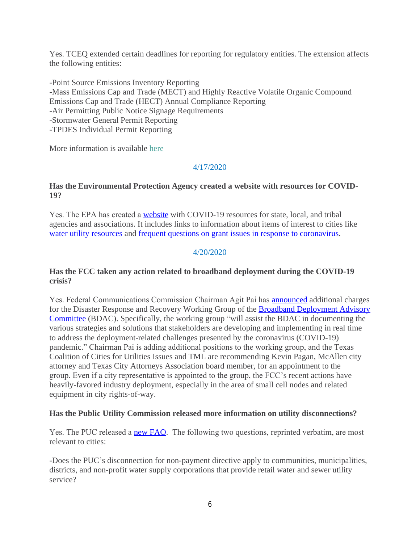Yes. TCEQ extended certain deadlines for reporting for regulatory entities. The extension affects the following entities:

-Point Source Emissions Inventory Reporting -Mass Emissions Cap and Trade (MECT) and Highly Reactive Volatile Organic Compound Emissions Cap and Trade (HECT) Annual Compliance Reporting -Air Permitting Public Notice Signage Requirements -Stormwater General Permit Reporting -TPDES Individual Permit Reporting

More information is available [here](http://r20.rs6.net/tn.jsp?f=001Eo2tUb01RhWz-0YryrN91aplaeLaBXsWQsjAm3LKb_WYx9cwtFSdWmnWi2gaIX2KzaGt6lYDDWRWiTC8UwZvTOBpZO2LT68bVpcxBC8jJ1csSgB3V_W4MBJl4kvCOc3PZZHmuqBXD7jUCeQ6FgbnkvjjUTdyJ__ixS6ymJYJAz5qqnHwZzXJvQkmtcyOz-jznXoz5OWB1g683tiv0_aqZXKSM8eh7bKYEYfWefjR-QM=&c=XXg0Cq3NnNr3Gu7Cy0limlS_Cx6yO1v_0JMR_7d5zIE0t5tdmGCZhA==&ch=i_Geo0dxp30ZnQTZb4zUbjY0ZC69H7K3s56MeeS0KFFu8uHLni6GKw==)

#### 4/17/2020

#### **Has the Environmental Protection Agency created a website with resources for COVID-19?**

Yes. The EPA has created a [website](http://r20.rs6.net/tn.jsp?f=001cTrY5--B07na3MPdnp9jl9qdcBp-thj96SJMGh21WUGdm5Xh7aesC25dR3Fl4YSU3WQPGvdfyOWFigu-CNiPZ-G0yA9wc4I2UybkT6bfglpeQyy4EuAijJPbTyPlBBfopBEQzAr63iziqJdepvRPqsJf28wQpjRsPI29ldkqOsJr3-ODmtb3-3NuBKAcXcfKvazJKz0MaDoWhOuOitg8rRntAzbAal5DIJRPT0Ifa6FwEEeqjPLW1K15gM0N6-3MF7XzxD7MelDO1TzBNoeAhA==&c=AFEfHcLKObqKj2NR8oBxa0d5Lxsoqs6K5AJ1CJEgZV8LU2UaqgdljA==&ch=nTpEtvf9yPM9ZloAzIyRrtb8G1lORAK8ZTIPyrw5m7lbYxtb7P5tuQ==) with COVID-19 resources for state, local, and tribal agencies and associations. It includes links to information about items of interest to cities like [water utility resources](http://r20.rs6.net/tn.jsp?f=001cTrY5--B07na3MPdnp9jl9qdcBp-thj96SJMGh21WUGdm5Xh7aesC25dR3Fl4YSU0BrxMmYN620pTk_Z3jRsxCwAzfhOwXJS2NWRhM-Yy2IoEO_m_0qWxjDn5_63x7Mdx0Fc6QLuPje3I4Z7-u2P3bQdoGZALV_NcLULEKBEVDdYf05_V9OSIpYbzFTcealRmRnZfehcWMfMFkfpFfA55g==&c=AFEfHcLKObqKj2NR8oBxa0d5Lxsoqs6K5AJ1CJEgZV8LU2UaqgdljA==&ch=nTpEtvf9yPM9ZloAzIyRrtb8G1lORAK8ZTIPyrw5m7lbYxtb7P5tuQ==) and [frequent questions on grant issues in response to coronavirus.](http://r20.rs6.net/tn.jsp?f=001cTrY5--B07na3MPdnp9jl9qdcBp-thj96SJMGh21WUGdm5Xh7aesC25dR3Fl4YSUWf3HrLNj4iKfLxdghfHyWkPm5vZjmXy5VDGuBl1avBEobhncU2IY4UfLZWq_3xzs-N73whc_h0DVWxbf7UoarNa_-Lyh8_ZIs3sqtm__tZy6ld520L3kt66F43GpgfOw5Y4LCskrNMOOzuHIEMdGk91bYHuGTFiyaSbaj7GR1Ue7TT8Up6S-lA==&c=AFEfHcLKObqKj2NR8oBxa0d5Lxsoqs6K5AJ1CJEgZV8LU2UaqgdljA==&ch=nTpEtvf9yPM9ZloAzIyRrtb8G1lORAK8ZTIPyrw5m7lbYxtb7P5tuQ==)

#### 4/20/2020

#### **Has the FCC taken any action related to broadband deployment during the COVID-19 crisis?**

Yes. Federal Communications Commission Chairman Agit Pai has [announced](http://r20.rs6.net/tn.jsp?f=001n5C7jnD9c4X0s3csb85slLoOLKMFMcIiUTSqhGkeR95MdEttXeVgY13CZTIDSI7p4iRhCxqZj2_nuBdtzd3SXMDQzAsgFThCgy6ppUUo9V-pArvt9m9kry01gcaY55uBjBCTRMZQg-2Kp0zz3oJGVapptK1xcqK4Ld8-chBK7GWEWR4-S8UqCEuP0NEFkOq5&c=Cqjf3A9p3fgjqxzuHfEin5qzo4DS_khiOxzZR6JGF17m3wW0eTBtuA==&ch=Fwyi-1NW05W8gmRsBktvNWPWXFpZLMO16R97mF21jjr5yCBdkd9-2w==) additional charges for the Disaster Response and Recovery Working Group of the **Broadband Deployment Advisory** Committee (BDAC). Specifically, the working group "will assist the BDAC in documenting the various strategies and solutions that stakeholders are developing and implementing in real time to address the deployment-related challenges presented by the coronavirus (COVID-19) pandemic." Chairman Pai is adding additional positions to the working group, and the Texas Coalition of Cities for Utilities Issues and TML are recommending Kevin Pagan, McAllen city attorney and Texas City Attorneys Association board member, for an appointment to the group. Even if a city representative is appointed to the group, the FCC's recent actions have heavily-favored industry deployment, especially in the area of small cell nodes and related equipment in city rights-of-way.

#### **Has the Public Utility Commission released more information on utility disconnections?**

Yes. The PUC released a **[new FAQ](http://r20.rs6.net/tn.jsp?f=001n5C7jnD9c4X0s3csb85slLoOLKMFMcIiUTSqhGkeR95MdEttXeVgY13CZTIDSI7ph9yi6gJp0Kwo-AC1Rd8kICWSw_Aaw3IVlJf1LnvCIicQbKcxNNGuXd9lBrdAzzR9POALKIuXmAIg5fKEi9UeowqmTboDfG_2OTWwwgI-xT6hVbbwpJYX7MqLb_YXXPWi&c=Cqjf3A9p3fgjqxzuHfEin5qzo4DS_khiOxzZR6JGF17m3wW0eTBtuA==&ch=Fwyi-1NW05W8gmRsBktvNWPWXFpZLMO16R97mF21jjr5yCBdkd9-2w==)**. The following two questions, reprinted verbatim, are most relevant to cities:

-Does the PUC's disconnection for non-payment directive apply to communities, municipalities, districts, and non-profit water supply corporations that provide retail water and sewer utility service?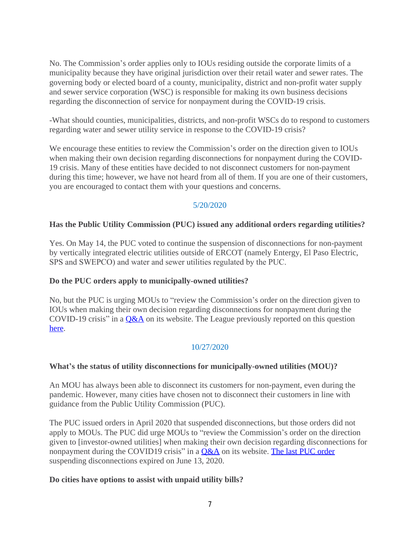No. The Commission's order applies only to IOUs residing outside the corporate limits of a municipality because they have original jurisdiction over their retail water and sewer rates. The governing body or elected board of a county, municipality, district and non-profit water supply and sewer service corporation (WSC) is responsible for making its own business decisions regarding the disconnection of service for nonpayment during the COVID-19 crisis.

-What should counties, municipalities, districts, and non-profit WSCs do to respond to customers regarding water and sewer utility service in response to the COVID-19 crisis?

We encourage these entities to review the Commission's order on the direction given to IOUs when making their own decision regarding disconnections for nonpayment during the COVID-19 crisis. Many of these entities have decided to not disconnect customers for non-payment during this time; however, we have not heard from all of them. If you are one of their customers, you are encouraged to contact them with your questions and concerns.

## 5/20/2020

#### **Has the Public Utility Commission (PUC) issued any additional orders regarding utilities?**

Yes. On May 14, the PUC voted to continue the suspension of disconnections for non-payment by vertically integrated electric utilities outside of ERCOT (namely Entergy, El Paso Electric, SPS and SWEPCO) and water and sewer utilities regulated by the PUC.

#### **Do the PUC orders apply to municipally-owned utilities?**

No, but the PUC is urging MOUs to "review the Commission's order on the direction given to IOUs when making their own decision regarding disconnections for nonpayment during the COVID-19 crisis" in a  $Q&A$  on its website. The League previously reported on this question [here.](http://r20.rs6.net/tn.jsp?f=001cHUPgDZ3Dga-f7pQ3epY3BqtSQ4fI41rp0amtdcfSWKJCnzLGQeK2aHU9rxR2SOqhXodBACt1ad_nQIPrL1ZEuqDtr6SfEmGtY3qi5JJxjuly_GBbtwnmxdQOxh6GSb0SOQPb06xud5I5vB3QQk7f6uO5V4KiWCj_gSTeXqdpqoq_scbpYD_onMuNEZAmXLT&c=yldQSVlFO2VlUJ6O7oITuyLqYYlndiGJTcFiWNNE6Z01ECzYFPH2QQ==&ch=Zi5_J8HIqbtsRq8Lvgvzk6zguQcvPdFMFuNRI5C5JcP6OcNJBJLEPg==)

## 10/27/2020

#### **What's the status of utility disconnections for municipally-owned utilities (MOU)?**

An MOU has always been able to disconnect its customers for non-payment, even during the pandemic. However, many cities have chosen not to disconnect their customers in line with guidance from the Public Utility Commission (PUC).

The PUC issued orders in April 2020 that suspended disconnections, but those orders did not apply to MOUs. The PUC did urge MOUs to "review the Commission's order on the direction given to [investor-owned utilities] when making their own decision regarding disconnections for nonpayment during the COVID19 crisis" in a  $Q&A$  on its website. [The last PUC order](http://r20.rs6.net/tn.jsp?f=0015IGC8Qdh-yu3RUVOzSPk9rPPeqIGdlu8xckNH0KsDSbFdRlwovdy0r9WZy9ukqlzDqDhe9cihxPx59AotJ17uzxFZr2iRKmsfmm-Yjbf50fSZVc7sZaS-EDRSdttSYdo5qaZfOXXAgybjegnWoGG5_i_wKR0Dx_5nFoYVJS5WaxhxBS0PmCmZpemp9qOGIPGXyP6H8CAG9REgaPgn_3JrYMMDZ2GtMiWvHYEupTr_osE5jG_qRMLjQ==&c=qNSZugbnuPvW4SU6wZhMEMEFk0q42_KJqtk20QyvmBn4tILXXOsKKg==&ch=Evv68_hvNRtQZ2E_sI_WNJPlFbVoMLpt3lsUywd3_AxdHU_qHHZeYw==) suspending disconnections expired on June 13, 2020.

#### **Do cities have options to assist with unpaid utility bills?**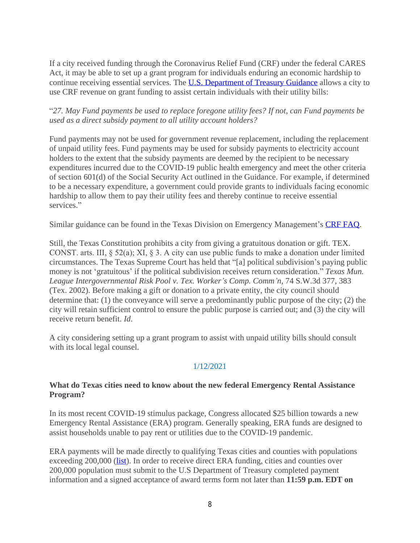If a city received funding through the Coronavirus Relief Fund (CRF) under the federal CARES Act, it may be able to set up a grant program for individuals enduring an economic hardship to continue receiving essential services. The **[U.S. Department of Treasury Guidance](http://r20.rs6.net/tn.jsp?f=0015IGC8Qdh-yu3RUVOzSPk9rPPeqIGdlu8xckNH0KsDSbFdRlwovdy0gYN3Mfhq8l6rMThLI_Z9cdvtU_dMHdGQhJD2Vsz8ZEgGcUai4O7WhMi08x9CnbjYXDYOEtXnV27OEr1W2GcspiXG6L_bnbGMMuvp3lqIwZ2JuziXQUbDXDvMruppvEbNYj88l9aAWdH85e2WJriJwTJocNBkVQvd4xdDLmJr7t0OMZUKkgP9hUqVkLMjtAGfi69n7EYn0K_&c=qNSZugbnuPvW4SU6wZhMEMEFk0q42_KJqtk20QyvmBn4tILXXOsKKg==&ch=Evv68_hvNRtQZ2E_sI_WNJPlFbVoMLpt3lsUywd3_AxdHU_qHHZeYw==)** allows a city to use CRF revenue on grant funding to assist certain individuals with their utility bills:

## "*27. May Fund payments be used to replace foregone utility fees? If not, can Fund payments be used as a direct subsidy payment to all utility account holders?*

Fund payments may not be used for government revenue replacement, including the replacement of unpaid utility fees. Fund payments may be used for subsidy payments to electricity account holders to the extent that the subsidy payments are deemed by the recipient to be necessary expenditures incurred due to the COVID-19 public health emergency and meet the other criteria of section 601(d) of the Social Security Act outlined in the Guidance. For example, if determined to be a necessary expenditure, a government could provide grants to individuals facing economic hardship to allow them to pay their utility fees and thereby continue to receive essential services."

Similar guidance can be found in the Texas Division on Emergency Management's [CRF FAQ](http://r20.rs6.net/tn.jsp?f=0015IGC8Qdh-yu3RUVOzSPk9rPPeqIGdlu8xckNH0KsDSbFdRlwovdy0r9WZy9ukqlzkhiuvovjtaDN4KrSLN6T8oXN9QUWVL-swljVxHx2rf9hnjf4hzHR8yukw6bHOnq6Vfmh2cfXhcDK_6V9JUn5USXE-RMwF52SbSiD5wx3qr5g4YtjNA3FhxMh7BLG7LCYETwsxFUO1qiBNqmNhbacRsRxjiEmzGs-yiCMLS26skBX-wkSLpTNYcx3kOGoYG_L&c=qNSZugbnuPvW4SU6wZhMEMEFk0q42_KJqtk20QyvmBn4tILXXOsKKg==&ch=Evv68_hvNRtQZ2E_sI_WNJPlFbVoMLpt3lsUywd3_AxdHU_qHHZeYw==).

Still, the Texas Constitution prohibits a city from giving a gratuitous donation or gift. TEX. CONST. arts. III, § 52(a); XI, § 3. A city can use public funds to make a donation under limited circumstances. The Texas Supreme Court has held that "[a] political subdivision's paying public money is not 'gratuitous' if the political subdivision receives return consideration." *Texas Mun. League Intergovernmental Risk Pool v. Tex. Worker's Comp. Comm'n*, 74 S.W.3d 377, 383 (Tex. 2002). Before making a gift or donation to a private entity, the city council should determine that: (1) the conveyance will serve a predominantly public purpose of the city; (2) the city will retain sufficient control to ensure the public purpose is carried out; and (3) the city will receive return benefit. *Id*.

A city considering setting up a grant program to assist with unpaid utility bills should consult with its local legal counsel.

## 1/12/2021

#### **What do Texas cities need to know about the new federal Emergency Rental Assistance Program?**

In its most recent COVID-19 stimulus package, Congress allocated \$25 billion towards a new Emergency Rental Assistance (ERA) program. Generally speaking, ERA funds are designed to assist households unable to pay rent or utilities due to the COVID-19 pandemic.

ERA payments will be made directly to qualifying Texas cities and counties with populations exceeding 200,000 ([list](http://r20.rs6.net/tn.jsp?f=001qMKxix86AKhMVXeoFp8oE4tmRBoP4zIgaaBVRxWuy8MU89EN4ao8d4HzJKwOFXzd3-JveAD0fPrh_nQfErNYYP9JmIwzd2bujz2oOygN5xKkpVWgnKdl7zNLg80HW5lBoARoqV2K0ttxFVvWmBsim-Gxbqn8f_jng2rzGVF1T5Yo__rYdLK7ZxENFT_g1g7El6gGW96UuYzmy2E3uYYHvYvFvHY-DZzwpbr1PLuR-jaQE8TsViEDow==&c=5Y69ewMv8Be0GIRl7UawhXp8nRmpjJIMkS1MMy3EdDPtaoYjfAGjJA==&ch=3tA2dsO1QtucFXIRQQZmS7G1A5XLE3q7XaDA3Th_d4eszFV7ob3L1w==)). In order to receive direct ERA funding, cities and counties over 200,000 population must submit to the U.S Department of Treasury completed payment information and a signed acceptance of award terms form not later than **11:59 p.m. EDT on**